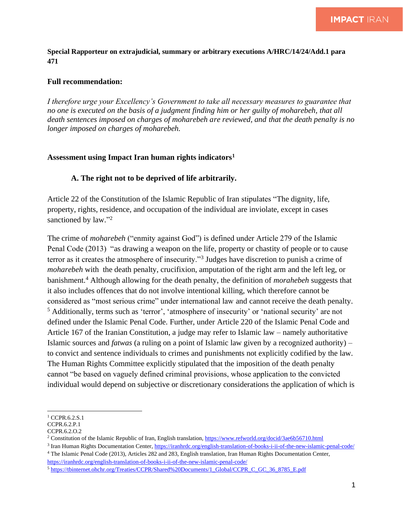**Special Rapporteur on extrajudicial, summary or arbitrary executions A/HRC/14/24/Add.1 para 471**

## **Full recommendation:**

*I therefore urge your Excellency's Government to take all necessary measures to guarantee that no one is executed on the basis of a judgment finding him or her guilty of moharebeh, that all death sentences imposed on charges of moharebeh are reviewed, and that the death penalty is no longer imposed on charges of moharebeh.* 

## **Assessment using Impact Iran human rights indicators<sup>1</sup>**

## **A. The right not to be deprived of life arbitrarily.**

Article 22 of the Constitution of the Islamic Republic of Iran stipulates "The dignity, life, property, rights, residence, and occupation of the individual are inviolate, except in cases sanctioned by law."<sup>2</sup>

The crime of *moharebeh* ("enmity against God") is defined under Article 279 of the Islamic Penal Code (2013) "as drawing a weapon on the life, property or chastity of people or to cause terror as it creates the atmosphere of insecurity."<sup>3</sup> Judges have discretion to punish a crime of *moharebeh* with the death penalty, crucifixion, amputation of the right arm and the left leg, or banishment.<sup>4</sup> Although allowing for the death penalty, the definition of *morahebeh* suggests that it also includes offences that do not involve intentional killing, which therefore cannot be considered as "most serious crime" under international law and cannot receive the death penalty. <sup>5</sup> Additionally, terms such as 'terror', 'atmosphere of insecurity' or 'national security' are not defined under the Islamic Penal Code. Further, under Article 220 of the Islamic Penal Code and Article 167 of the Iranian Constitution, a judge may refer to Islamic law – namely authoritative Islamic sources and *fatwas* (a ruling on a point of Islamic law given by a recognized authority) – to convict and sentence individuals to crimes and punishments not explicitly codified by the law. The Human Rights Committee explicitly stipulated that the imposition of the death penalty cannot "be based on vaguely defined criminal provisions, whose application to the convicted individual would depend on subjective or discretionary considerations the application of which is

<sup>&</sup>lt;sup>1</sup> CCPR.6.2.S.1

CCPR.6.2.P.1

CCPR.6.2.O.2

<sup>&</sup>lt;sup>2</sup> Constitution of the Islamic Republic of Iran, English translation[, https://www.refworld.org/docid/3ae6b56710.html](https://www.refworld.org/docid/3ae6b56710.html)

<sup>&</sup>lt;sup>3</sup> Iran Human Rights Documentation Center[, https://iranhrdc.org/english-translation-of-books-i-ii-of-the-new-islamic-penal-code/](https://iranhrdc.org/english-translation-of-books-i-ii-of-the-new-islamic-penal-code/) <sup>4</sup> The Islamic Penal Code (2013), Articles 282 and 283, English translation, Iran Human Rights Documentation Center, <https://iranhrdc.org/english-translation-of-books-i-ii-of-the-new-islamic-penal-code/>

<sup>5</sup> [https://tbinternet.ohchr.org/Treaties/CCPR/Shared%20Documents/1\\_Global/CCPR\\_C\\_GC\\_36\\_8785\\_E.pdf](https://tbinternet.ohchr.org/Treaties/CCPR/Shared%20Documents/1_Global/CCPR_C_GC_36_8785_E.pdf)